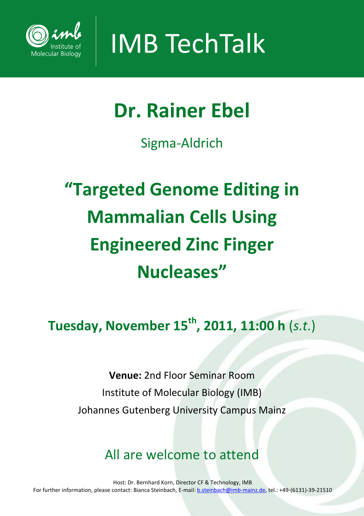

**IMB TechTalk** 

### **Dr. Rainer Ebel**

Sigma-Aldrich

## **"Targeted Genome Editing in Mammalian Cells Using Engineered Zinc Finger Nucleases"**

**Tuesday, November 15th , 2011, 11:00 h** (*s.t.*)

**Venue:** 2nd Floor Seminar Room Institute of Molecular Biology (IMB) Johannes Gutenberg University Campus Mainz

### All are welcome to attend

Host: Dr. Bernhard Korn, Director CF & Technology, IMB For further information, please contact: Bianca Steinbach, E-mail: b.steinbach@imb-mainz.de, tel.: +49-(6131)-39-21510